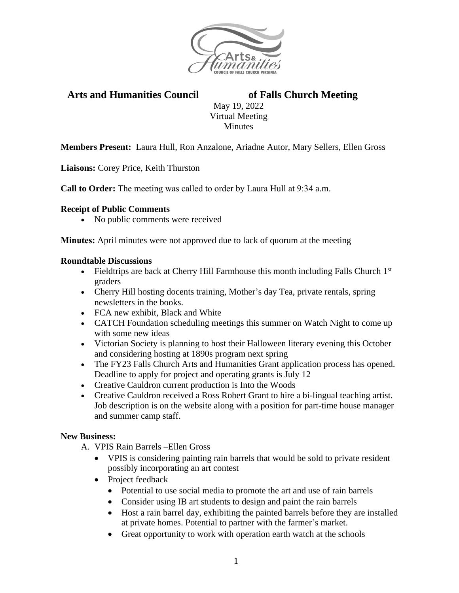

# **Arts and Humanities Council of Falls Church Meeting**

May 19, 2022 Virtual Meeting **Minutes** 

**Members Present:** Laura Hull, Ron Anzalone, Ariadne Autor, Mary Sellers, Ellen Gross

**Liaisons:** Corey Price, Keith Thurston

**Call to Order:** The meeting was called to order by Laura Hull at 9:34 a.m.

### **Receipt of Public Comments**

• No public comments were received

**Minutes:** April minutes were not approved due to lack of quorum at the meeting

#### **Roundtable Discussions**

- Fieldtrips are back at Cherry Hill Farmhouse this month including Falls Church  $1<sup>st</sup>$ graders
- Cherry Hill hosting docents training, Mother's day Tea, private rentals, spring newsletters in the books.
- FCA new exhibit, Black and White
- CATCH Foundation scheduling meetings this summer on Watch Night to come up with some new ideas
- Victorian Society is planning to host their Halloween literary evening this October and considering hosting at 1890s program next spring
- The FY23 Falls Church Arts and Humanities Grant application process has opened. Deadline to apply for project and operating grants is July 12
- Creative Cauldron current production is Into the Woods
- Creative Cauldron received a Ross Robert Grant to hire a bi-lingual teaching artist. Job description is on the website along with a position for part-time house manager and summer camp staff.

### **New Business:**

- A. VPIS Rain Barrels –Ellen Gross
	- VPIS is considering painting rain barrels that would be sold to private resident possibly incorporating an art contest
	- Project feedback
		- Potential to use social media to promote the art and use of rain barrels
		- Consider using IB art students to design and paint the rain barrels
		- Host a rain barrel day, exhibiting the painted barrels before they are installed at private homes. Potential to partner with the farmer's market.
		- Great opportunity to work with operation earth watch at the schools